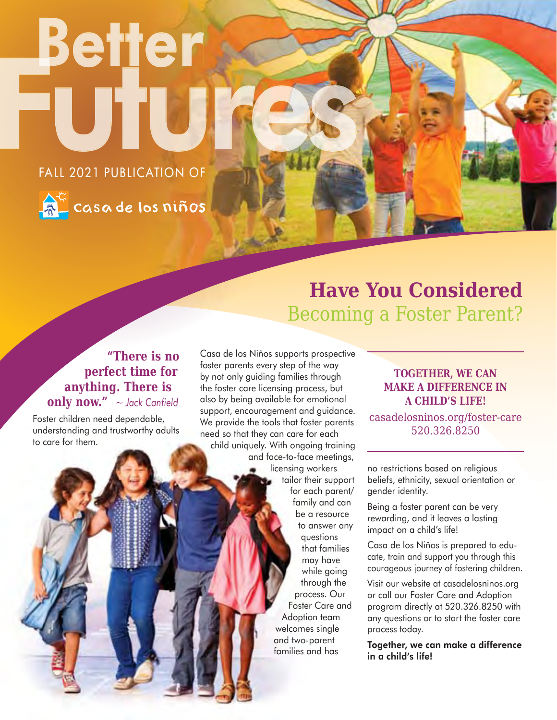# Better 'UT FALL 2021 PUBLICATION OF



**A<sup>G</sup>** casa de los niños

# **Have You Considered**  Becoming a Foster Parent?

### **"There is no perfect time for anything. There is only now."** *~ Jack Canfield*

Foster children need dependable, understanding and trustworthy adults to care for them.

Casa de los Niños supports prospective foster parents every step of the way by not only guiding families through the foster care licensing process, but also by being available for emotional support, encouragement and guidance. We provide the tools that foster parents need so that they can care for each child uniquely. With ongoing training and face-to-face meetings, licensing workers tailor their support

for each parent/ family and can be a resource to answer any questions that families may have while going through the process. Our Foster Care and Adoption team welcomes single and two-parent families and has

### **TOGETHER, WE CAN MAKE A DIFFERENCE IN A CHILD'S LIFE!**

casadelosninos.org/foster-care 520.326.8250

no restrictions based on religious beliefs, ethnicity, sexual orientation or gender identity.

Being a foster parent can be very rewarding, and it leaves a lasting impact on a child's life!

Casa de los Niños is prepared to educate, train and support you through this courageous journey of fostering children.

Visit our website at casadelosninos.org or call our Foster Care and Adoption program directly at 520.326.8250 with any questions or to start the foster care process today.

Together, we can make a difference in a child's life!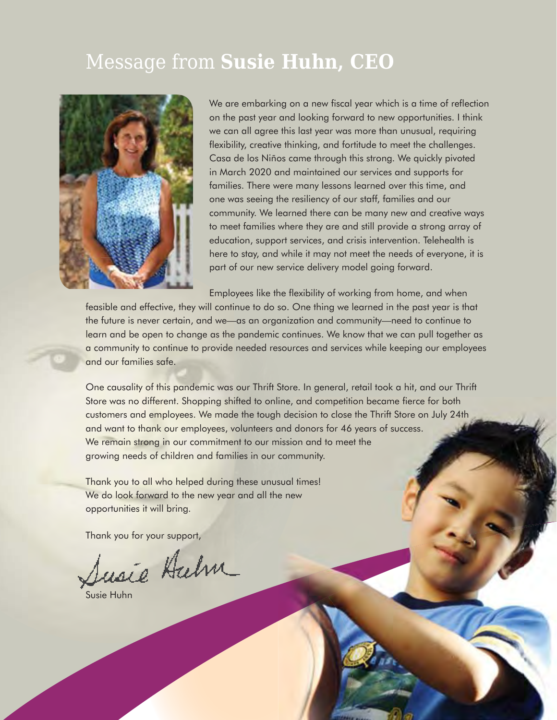### Message from **Susie Huhn, CEO**



We are embarking on a new fiscal year which is a time of reflection on the past year and looking forward to new opportunities. I think we can all agree this last year was more than unusual, requiring flexibility, creative thinking, and fortitude to meet the challenges. Casa de los Niños came through this strong. We quickly pivoted in March 2020 and maintained our services and supports for families. There were many lessons learned over this time, and one was seeing the resiliency of our staff, families and our community. We learned there can be many new and creative ways to meet families where they are and still provide a strong array of education, support services, and crisis intervention. Telehealth is here to stay, and while it may not meet the needs of everyone, it is part of our new service delivery model going forward.

Employees like the flexibility of working from home, and when

feasible and effective, they will continue to do so. One thing we learned in the past year is that the future is never certain, and we—as an organization and community—need to continue to learn and be open to change as the pandemic continues. We know that we can pull together as a community to continue to provide needed resources and services while keeping our employees and our families safe.

One causality of this pandemic was our Thrift Store. In general, retail took a hit, and our Thrift Store was no different. Shopping shifted to online, and competition became fierce for both customers and employees. We made the tough decision to close the Thrift Store on July 24th and want to thank our employees, volunteers and donors for 46 years of success. We remain strong in our commitment to our mission and to meet the growing needs of children and families in our community.

Thank you to all who helped during these unusual times! We do look forward to the new year and all the new opportunities it will bring.

Thank you for your support,

Susie Halm

Susie Huhn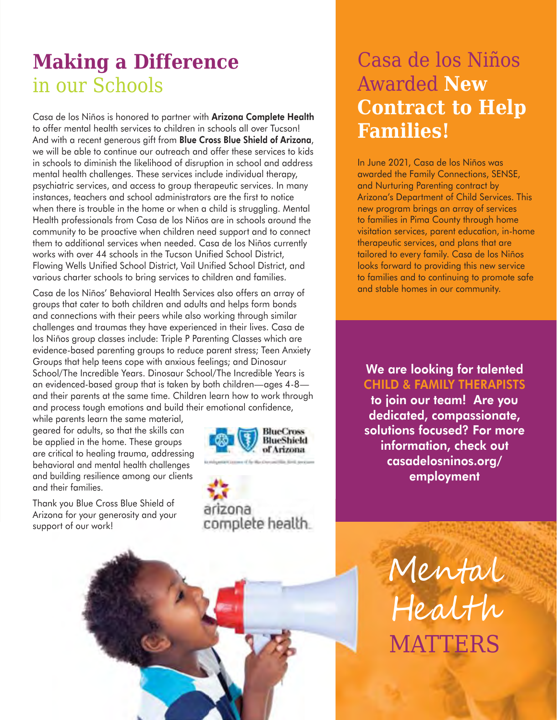# **Making a Difference** in our Schools

Casa de los Niños is honored to partner with Arizona Complete Health to offer mental health services to children in schools all over Tucson! And with a recent generous gift from Blue Cross Blue Shield of Arizona, we will be able to continue our outreach and offer these services to kids in schools to diminish the likelihood of disruption in school and address mental health challenges. These services include individual therapy, psychiatric services, and access to group therapeutic services. In many instances, teachers and school administrators are the first to notice when there is trouble in the home or when a child is struggling. Mental Health professionals from Casa de los Niños are in schools around the community to be proactive when children need support and to connect them to additional services when needed. Casa de los Niños currently works with over 44 schools in the Tucson Unified School District, Flowing Wells Unified School District, Vail Unified School District, and various charter schools to bring services to children and families.

Casa de los Niños' Behavioral Health Services also offers an array of groups that cater to both children and adults and helps form bonds and connections with their peers while also working through similar challenges and traumas they have experienced in their lives. Casa de los Niños group classes include: Triple P Parenting Classes which are evidence-based parenting groups to reduce parent stress; Teen Anxiety Groups that help teens cope with anxious feelings; and Dinosaur School/The Incredible Years. Dinosaur School/The Incredible Years is an evidenced-based group that is taken by both children—ages 4-8 and their parents at the same time. Children learn how to work through and process tough emotions and build their emotional confidence,

while parents learn the same material, geared for adults, so that the skills can be applied in the home. These groups are critical to healing trauma, addressing behavioral and mental health challenges and building resilience among our clients and their families.

Thank you Blue Cross Blue Shield of Arizona for your generosity and your support of our work!



In June 2021, Casa de los Niños was awarded the Family Connections, SENSE, and Nurturing Parenting contract by Arizona's Department of Child Services. This new program brings an array of services to families in Pima County through home visitation services, parent education, in-home therapeutic services, and plans that are tailored to every family. Casa de los Niños looks forward to providing this new service to families and to continuing to promote safe and stable homes in our community.

From the same of the same of the same of the same of the same of the same of the same of the same interpretation of the same interpretation of the same interpretation and build their emotional confidence, and build their e CHILD & FAMILY THERAPISTS to join our team! Are you dedicated, compassionate, solutions focused? For more information, check out casadelosninos.org/ employment

> Mental Health **MATTERS**

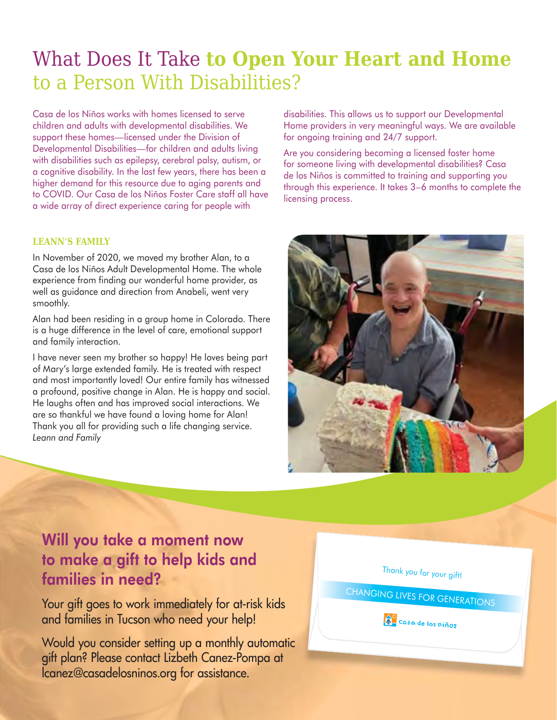# What Does It Take **to Open Your Heart and Home** to a Person With Disabilities?

Casa de los Niños works with homes licensed to serve children and adults with developmental disabilities. We support these homes—licensed under the Division of Developmental Disabilities—for children and adults living with disabilities such as epilepsy, cerebral palsy, autism, or a cognitive disability. In the last few years, there has been a higher demand for this resource due to aging parents and to COVID. Our Casa de los Niños Foster Care staff all have a wide array of direct experience caring for people with

#### **LEANN'S FAMILY**

In November of 2020, we moved my brother Alan, to a Casa de los Niños Adult Developmental Home. The whole experience from finding our wonderful home provider, as well as guidance and direction from Anabeli, went very smoothly.

Alan had been residing in a group home in Colorado. There is a huge difference in the level of care, emotional support and family interaction.

I have never seen my brother so happy! He loves being part of Mary's large extended family. He is treated with respect and most importantly loved! Our entire family has witnessed a profound, positive change in Alan. He is happy and social. He laughs often and has improved social interactions. We are so thankful we have found a loving home for Alan! Thank you all for providing such a life changing service. *Leann and Family*

disabilities. This allows us to support our Developmental Home providers in very meaningful ways. We are available for ongoing training and 24/7 support.

Are you considering becoming a licensed foster home for someone living with developmental disabilities? Casa de los Niños is committed to training and supporting you through this experience. It takes 3–6 months to complete the licensing process.



### Will you take a moment now to make a gift to help kids and families in need?

Your gift goes to work immediately for at-risk kids and families in Tucson who need your help!

Would you consider setting up a monthly automatic gift plan? Please contact Lizbeth Canez-Pompa at lcanez@casadelosninos.org for assistance.

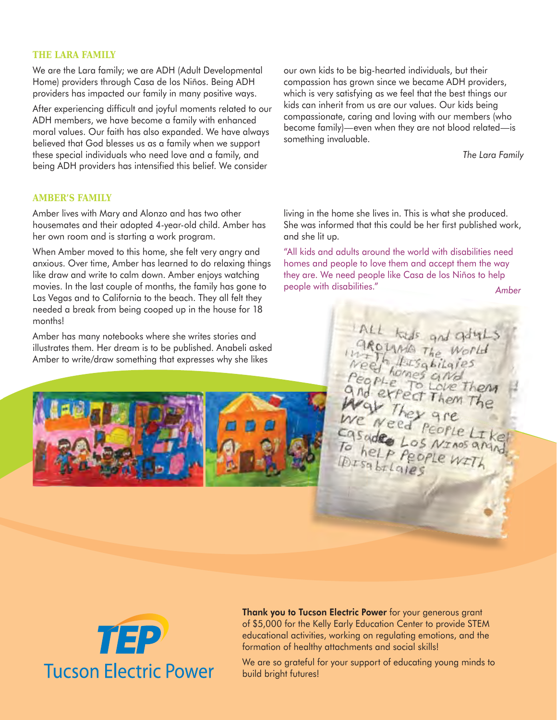#### **THE LARA FAMILY**

We are the Lara family; we are ADH (Adult Developmental Home) providers through Casa de los Niños. Being ADH providers has impacted our family in many positive ways.

After experiencing difficult and joyful moments related to our ADH members, we have become a family with enhanced moral values. Our faith has also expanded. We have always believed that God blesses us as a family when we support these special individuals who need love and a family, and being ADH providers has intensified this belief. We consider

**AMBER'S FAMILY**

Amber lives with Mary and Alonzo and has two other housemates and their adopted 4-year-old child. Amber has her own room and is starting a work program.

When Amber moved to this home, she felt very angry and anxious. Over time, Amber has learned to do relaxing things like draw and write to calm down. Amber enjoys watching movies. In the last couple of months, the family has gone to Las Vegas and to California to the beach. They all felt they needed a break from being cooped up in the house for 18 months!

Amber has many notebooks where she writes stories and illustrates them. Her dream is to be published. Anabeli asked Amber to write/draw something that expresses why she likes



our own kids to be big-hearted individuals, but their compassion has grown since we became ADH providers, which is very satisfying as we feel that the best things our kids can inherit from us are our values. Our kids being compassionate, caring and loving with our members (who become family)—even when they are not blood related—is something invaluable.

*The Lara Family* 

living in the home she lives in. This is what she produced. She was informed that this could be her first published work, and she lit up.

"All kids and adults around the world with disabilities need homes and people to love them and accept them the way they are. We need people like Casa de los Niños to help people with disabilities." **Amber** disabilities."





Thank you to Tucson Electric Power for your generous grant of \$5,000 for the Kelly Early Education Center to provide STEM educational activities, working on regulating emotions, and the formation of healthy attachments and social skills!

We are so grateful for your support of educating young minds to build bright futures!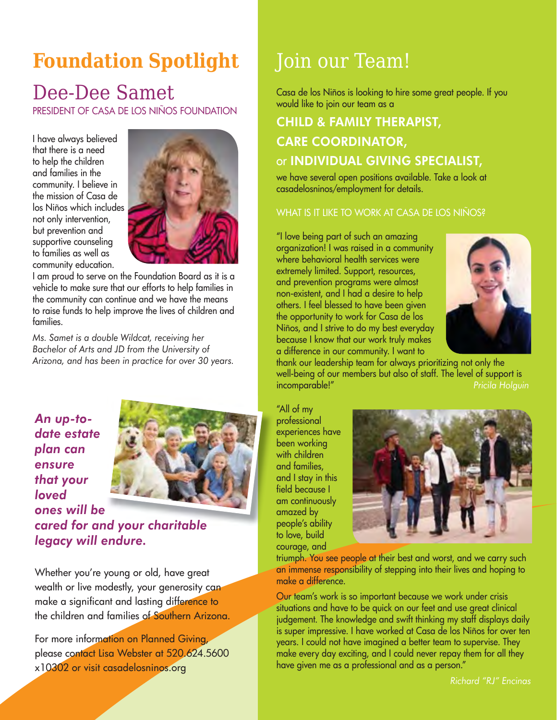# **Foundation Spotlight**

### Dee-Dee Samet

PRESIDENT OF CASA DE LOS NIÑOS FOUNDATION

I have always believed that there is a need to help the children and families in the community. I believe in the mission of Casa de los Niños which includes not only intervention, but prevention and supportive counseling to families as well as community education.



I am proud to serve on the Foundation Board as it is a vehicle to make sure that our efforts to help families in the community can continue and we have the means to raise funds to help improve the lives of children and families.

*Ms. Samet is a double Wildcat, receiving her Bachelor of Arts and JD from the University of Arizona, and has been in practice for over 30 years.* 

*An up-todate estate plan can ensure that your loved* 



*ones will be cared for and your charitable d charitablelegacy will endure.* 

Whether you're young or old, have great wealth or live modestly, your generosity can make a significant and lasting difference to the children and families of Southern Arizona.

For more information on Planned Giving, please contact Lisa Webster at 520.624.5600 x10302 or visit casadelosninos.org

# Join our Team!

Casa de los Niños is looking to hire some great people. If you would like to join our team as a

### CHILD & FAMILY THERAPIST, CARE COORDINATOR, or INDIVIDUAL GIVING SPECIALIST,

we have several open positions available. Take a look at casadelosninos/employment for details.

#### WHAT IS IT LIKE TO WORK AT CASA DE LOS NIÑOS?

"I love being part of such an amazing organization! I was raised in a community where behavioral health services were extremely limited. Support, resources, and prevention programs were almost non-existent, and I had a desire to help others. I feel blessed to have been given the opportunity to work for Casa de los Niños, and I strive to do my best everyday because I know that our work truly makes a difference in our community. I want to



thank our leadership team for always prioritizing not only the well-being of our members but also of staff. The level of support is incomparable!" *Pricila Holguin*

"All of my professional experiences have been working with children and families, and I stay in this field because I am continuously amazed by people's ability to love, build courage, and



triumph. You see people at their best and worst, and we carry such an immense responsibility of stepping into their lives and hoping to make a difference.

Our team's work is so important because we work under crisis situations and have to be quick on our feet and use great clinical judgement. The knowledge and swift thinking my staff displays daily is super impressive. I have worked at Casa de los Niños for over ten years. I could not have imagined a better team to supervise. They make every day exciting, and I could never repay them for all they have given me as a professional and as a person."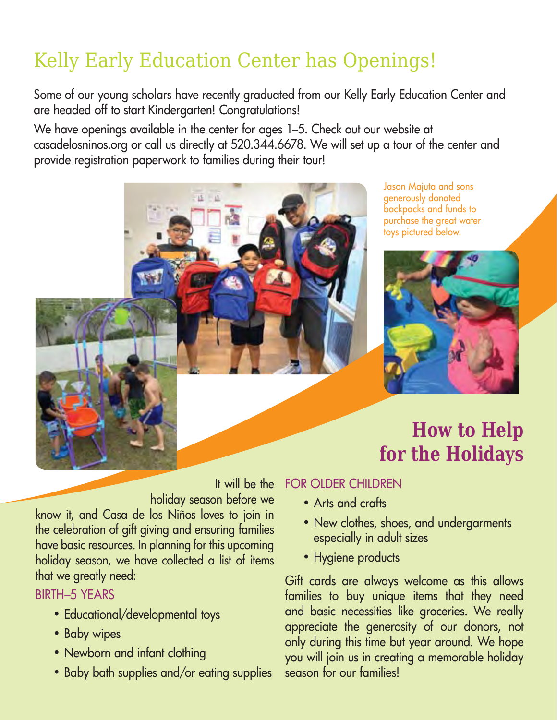# Kelly Early Education Center has Openings!

Some of our young scholars have recently graduated from our Kelly Early Education Center and are headed off to start Kindergarten! Congratulations!

We have openings available in the center for ages 1–5. Check out our website at casadelosninos.org or call us directly at 520.344.6678. We will set up a tour of the center and provide registration paperwork to families during their tour!



Jason Majuta and sons generously donated backpacks and funds to purchase the great water toys pictured below.



# **How to Help for the Holidays**

 It will be the holiday season before we

know it, and Casa de los Niños loves to join in the celebration of gift giving and ensuring families have basic resources. In planning for this upcoming holiday season, we have collected a list of items that we greatly need:

### BIRTH–5 YEARS

- Educational/developmental toys
- Baby wipes
- Newborn and infant clothing
- Baby bath supplies and/or eating supplies

### FOR OLDER CHILDREN

- Arts and crafts
- New clothes, shoes, and undergarments especially in adult sizes
- Hygiene products

Gift cards are always welcome as this allows families to buy unique items that they need and basic necessities like groceries. We really appreciate the generosity of our donors, not only during this time but year around. We hope you will join us in creating a memorable holiday season for our families!